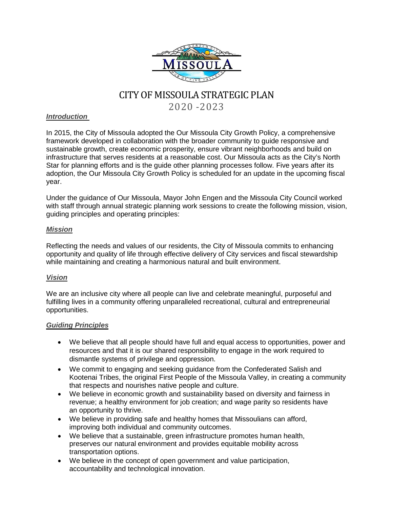

# CITY OF MISSOULA STRATEGIC PLAN

2020 -2023

#### *Introduction*

In 2015, the City of Missoula adopted the Our Missoula City Growth Policy, a comprehensive framework developed in collaboration with the broader community to guide responsive and sustainable growth, create economic prosperity, ensure vibrant neighborhoods and build on infrastructure that serves residents at a reasonable cost. Our Missoula acts as the City's North Star for planning efforts and is the guide other planning processes follow. Five years after its adoption, the Our Missoula City Growth Policy is scheduled for an update in the upcoming fiscal year.

Under the guidance of Our Missoula, Mayor John Engen and the Missoula City Council worked with staff through annual strategic planning work sessions to create the following mission, vision, guiding principles and operating principles:

#### *Mission*

Reflecting the needs and values of our residents, the City of Missoula commits to enhancing opportunity and quality of life through effective delivery of City services and fiscal stewardship while maintaining and creating a harmonious natural and built environment.

## *Vision*

We are an inclusive city where all people can live and celebrate meaningful, purposeful and fulfilling lives in a community offering unparalleled recreational, cultural and entrepreneurial opportunities.

#### *Guiding Principles*

- We believe that all people should have full and equal access to opportunities, power and resources and that it is our shared responsibility to engage in the work required to dismantle systems of privilege and oppression.
- We commit to engaging and seeking guidance from the Confederated Salish and Kootenai Tribes, the original First People of the Missoula Valley, in creating a community that respects and nourishes native people and culture.
- We believe in economic growth and sustainability based on diversity and fairness in revenue; a healthy environment for job creation; and wage parity so residents have an opportunity to thrive.
- We believe in providing safe and healthy homes that Missoulians can afford, improving both individual and community outcomes.
- We believe that a sustainable, green infrastructure promotes human health, preserves our natural environment and provides equitable mobility across transportation options.
- We believe in the concept of open government and value participation, accountability and technological innovation.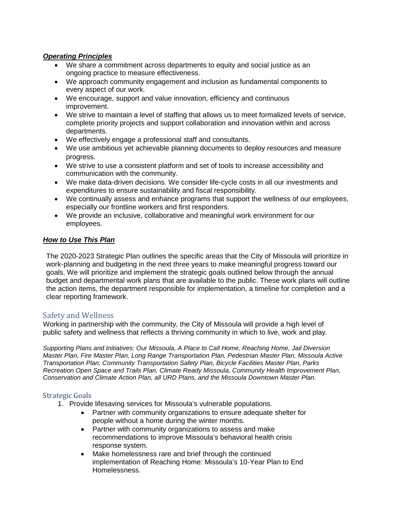#### *Operating Principles*

- We share a commitment across departments to equity and social justice as an ongoing practice to measure effectiveness.
- We approach community engagement and inclusion as fundamental components to every aspect of our work.
- We encourage, support and value innovation, efficiency and continuous improvement.
- We strive to maintain a level of staffing that allows us to meet formalized levels of service, complete priority projects and support collaboration and innovation within and across departments.
- We effectively engage a professional staff and consultants.
- We use ambitious yet achievable planning documents to deploy resources and measure progress.
- We strive to use a consistent platform and set of tools to increase accessibility and communication with the community.
- We make data-driven decisions. We consider life-cycle costs in all our investments and expenditures to ensure sustainability and fiscal responsibility.
- We continually assess and enhance programs that support the wellness of our employees, especially our frontline workers and first responders.
- We provide an inclusive, collaborative and meaningful work environment for our employees.

## *How to Use This Plan*

The 2020-2023 Strategic Plan outlines the specific areas that the City of Missoula will prioritize in work-planning and budgeting in the next three years to make meaningful progress toward our goals. We will prioritize and implement the strategic goals outlined below through the annual budget and departmental work plans that are available to the public. These work plans will outline the action items, the department responsible for implementation, a timeline for completion and a clear reporting framework.

## Safety and Wellness

Working in partnership with the community, the City of Missoula will provide a high level of public safety and wellness that reflects a thriving community in which to live, work and play.

*Supporting Plans and Initiatives: Our Missoula, A Place to Call Home, Reaching Home, Jail Diversion Master Plan, Fire Master Plan, Long Range Transportation Plan, Pedestrian Master Plan, Missoula Active Transportation Plan, Community Transportation Safety Plan, Bicycle Facilities Master Plan, Parks Recreation Open Space and Trails Plan, Climate Ready Missoula, Community Health Improvement Plan, Conservation and Climate Action Plan, all URD Plans, and the Missoula Downtown Master Plan.* 

- 1. Provide lifesaving services for Missoula's vulnerable populations.
	- Partner with community organizations to ensure adequate shelter for people without a home during the winter months.
	- Partner with community organizations to assess and make recommendations to improve Missoula's behavioral health crisis response system.
	- Make homelessness rare and brief through the continued implementation of Reaching Home: Missoula's 10-Year Plan to End Homelessness.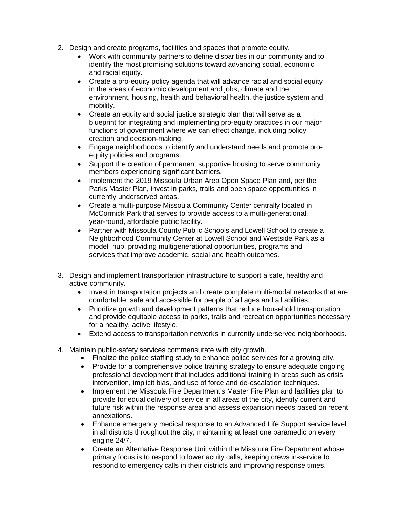- 2. Design and create programs, facilities and spaces that promote equity.
	- Work with community partners to define disparities in our community and to identify the most promising solutions toward advancing social, economic and racial equity.
	- Create a pro-equity policy agenda that will advance racial and social equity in the areas of economic development and jobs, climate and the environment, housing, health and behavioral health, the justice system and mobility.
	- Create an equity and social justice strategic plan that will serve as a blueprint for integrating and implementing pro-equity practices in our major functions of government where we can effect change, including policy creation and decision-making.
	- Engage neighborhoods to identify and understand needs and promote proequity policies and programs.
	- Support the creation of permanent supportive housing to serve community members experiencing significant barriers.
	- Implement the 2019 Missoula Urban Area Open Space Plan and, per the Parks Master Plan, invest in parks, trails and open space opportunities in currently underserved areas.
	- Create a multi-purpose Missoula Community Center centrally located in McCormick Park that serves to provide access to a multi-generational, year-round, affordable public facility.
	- Partner with Missoula County Public Schools and Lowell School to create a Neighborhood Community Center at Lowell School and Westside Park as a model hub, providing multigenerational opportunities, programs and services that improve academic, social and health outcomes.
- 3. Design and implement transportation infrastructure to support a safe, healthy and active community.
	- Invest in transportation projects and create complete multi-modal networks that are comfortable, safe and accessible for people of all ages and all abilities.
	- Prioritize growth and development patterns that reduce household transportation and provide equitable access to parks, trails and recreation opportunities necessary for a healthy, active lifestyle.
	- Extend access to transportation networks in currently underserved neighborhoods.
- 4. Maintain public-safety services commensurate with city growth.
	- Finalize the police staffing study to enhance police services for a growing city.
	- Provide for a comprehensive police training strategy to ensure adequate ongoing professional development that includes additional training in areas such as crisis intervention, implicit bias, and use of force and de-escalation techniques.
	- Implement the Missoula Fire Department's Master Fire Plan and facilities plan to provide for equal delivery of service in all areas of the city, identify current and future risk within the response area and assess expansion needs based on recent annexations.
	- Enhance emergency medical response to an Advanced Life Support service level in all districts throughout the city, maintaining at least one paramedic on every engine 24/7.
	- Create an Alternative Response Unit within the Missoula Fire Department whose primary focus is to respond to lower acuity calls, keeping crews in-service to respond to emergency calls in their districts and improving response times.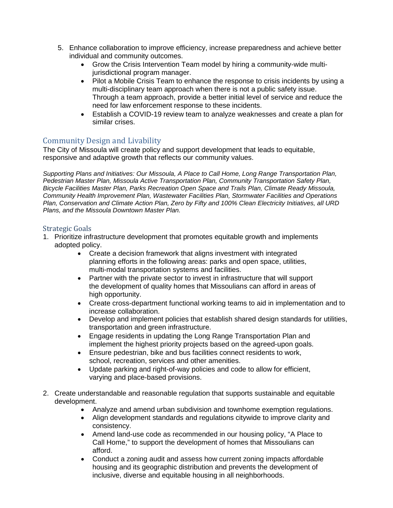- 5. Enhance collaboration to improve efficiency, increase preparedness and achieve better individual and community outcomes.
	- Grow the Crisis Intervention Team model by hiring a community-wide multijurisdictional program manager.
	- Pilot a Mobile Crisis Team to enhance the response to crisis incidents by using a multi-disciplinary team approach when there is not a public safety issue. Through a team approach, provide a better initial level of service and reduce the need for law enforcement response to these incidents.
	- Establish a COVID-19 review team to analyze weaknesses and create a plan for similar crises.

## Community Design and Livability

The City of Missoula will create policy and support development that leads to equitable, responsive and adaptive growth that reflects our community values.

*Supporting Plans and Initiatives: Our Missoula, A Place to Call Home, Long Range Transportation Plan, Pedestrian Master Plan, Missoula Active Transportation Plan, Community Transportation Safety Plan, Bicycle Facilities Master Plan, Parks Recreation Open Space and Trails Plan, Climate Ready Missoula, Community Health Improvement Plan, Wastewater Facilities Plan, Stormwater Facilities and Operations Plan, Conservation and Climate Action Plan, Zero by Fifty and 100% Clean Electricity Initiatives, all URD Plans, and the Missoula Downtown Master Plan.* 

- 1. Prioritize infrastructure development that promotes equitable growth and implements adopted policy.
	- Create a decision framework that aligns investment with integrated planning efforts in the following areas: parks and open space, utilities, multi-modal transportation systems and facilities.
	- Partner with the private sector to invest in infrastructure that will support the development of quality homes that Missoulians can afford in areas of high opportunity.
	- Create cross-department functional working teams to aid in implementation and to increase collaboration.
	- Develop and implement policies that establish shared design standards for utilities, transportation and green infrastructure.
	- Engage residents in updating the Long Range Transportation Plan and implement the highest priority projects based on the agreed-upon goals.
	- Ensure pedestrian, bike and bus facilities connect residents to work, school, recreation, services and other amenities.
	- Update parking and right-of-way policies and code to allow for efficient, varying and place-based provisions.
- 2. Create understandable and reasonable regulation that supports sustainable and equitable development.
	- Analyze and amend urban subdivision and townhome exemption regulations.
	- Align development standards and regulations citywide to improve clarity and consistency.
	- Amend land-use code as recommended in our housing policy, "A Place to Call Home," to support the development of homes that Missoulians can afford.
	- Conduct a zoning audit and assess how current zoning impacts affordable housing and its geographic distribution and prevents the development of inclusive, diverse and equitable housing in all neighborhoods.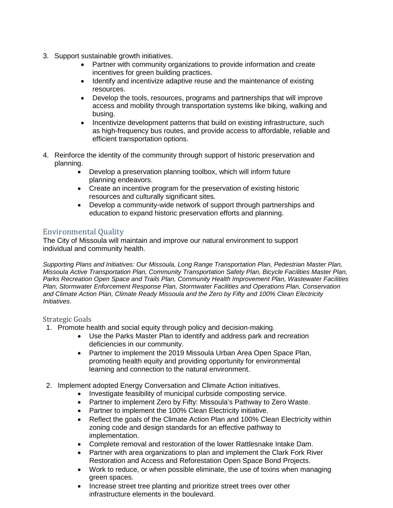- 3. Support sustainable growth initiatives.
	- Partner with community organizations to provide information and create incentives for green building practices.
	- Identify and incentivize adaptive reuse and the maintenance of existing resources.
	- Develop the tools, resources, programs and partnerships that will improve access and mobility through transportation systems like biking, walking and busing.
	- Incentivize development patterns that build on existing infrastructure, such as high-frequency bus routes, and provide access to affordable, reliable and efficient transportation options.
- 4. Reinforce the identity of the community through support of historic preservation and planning.
	- Develop a preservation planning toolbox, which will inform future planning endeavors.
	- Create an incentive program for the preservation of existing historic resources and culturally significant sites.
	- Develop a community-wide network of support through partnerships and education to expand historic preservation efforts and planning.

# Environmental Quality

The City of Missoula will maintain and improve our natural environment to support individual and community health.

*Supporting Plans and Initiatives: Our Missoula, Long Range Transportation Plan, Pedestrian Master Plan, Missoula Active Transportation Plan, Community Transportation Safety Plan, Bicycle Facilities Master Plan, Parks Recreation Open Space and Trails Plan, Community Health Improvement Plan, Wastewater Facilities Plan, Stormwater Enforcement Response Plan, Stormwater Facilities and Operations Plan, Conservation and Climate Action Plan, Climate Ready Missoula and the Zero by Fifty and 100% Clean Electricity Initiatives.* 

- 1. Promote health and social equity through policy and decision-making.
	- Use the Parks Master Plan to identify and address park and recreation deficiencies in our community.
	- Partner to implement the 2019 Missoula Urban Area Open Space Plan, promoting health equity and providing opportunity for environmental learning and connection to the natural environment.
- 2. Implement adopted Energy Conversation and Climate Action initiatives.
	- Investigate feasibility of municipal curbside composting service.
	- Partner to implement Zero by Fifty: Missoula's Pathway to Zero Waste.
	- Partner to implement the 100% Clean Electricity initiative.
	- Reflect the goals of the Climate Action Plan and 100% Clean Electricity within zoning code and design standards for an effective pathway to implementation.
	- Complete removal and restoration of the lower Rattlesnake Intake Dam.
	- Partner with area organizations to plan and implement the Clark Fork River Restoration and Access and Reforestation Open Space Bond Projects.
	- Work to reduce, or when possible eliminate, the use of toxins when managing green spaces.
	- Increase street tree planting and prioritize street trees over other infrastructure elements in the boulevard.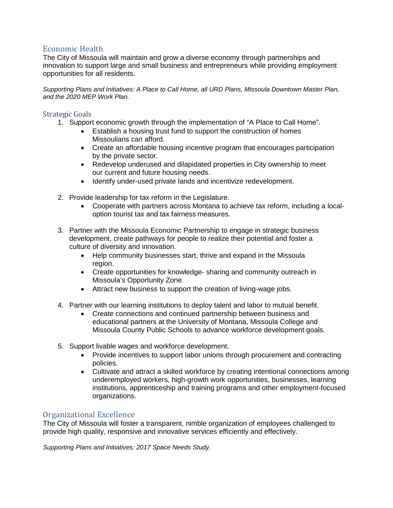## Economic Health

The City of Missoula will maintain and grow a diverse economy through partnerships and innovation to support large and small business and entrepreneurs while providing employment opportunities for all residents.

*Supporting Plans and Initiatives: A Place to Call Home, all URD Plans, Missoula Downtown Master Plan, and the 2020 MEP Work Plan.*

#### Strategic Goals

- 1. Support economic growth through the implementation of "A Place to Call Home".
	- Establish a housing trust fund to support the construction of homes Missoulians can afford.
	- Create an affordable housing incentive program that encourages participation by the private sector.
	- Redevelop underused and dilapidated properties in City ownership to meet our current and future housing needs.
	- Identify under-used private lands and incentivize redevelopment.
- 2. Provide leadership for tax reform in the Legislature.
	- Cooperate with partners across Montana to achieve tax reform, including a localoption tourist tax and tax fairness measures.
- 3. Partner with the Missoula Economic Partnership to engage in strategic business development, create pathways for people to realize their potential and foster a culture of diversity and innovation.
	- Help community businesses start, thrive and expand in the Missoula region.
	- Create opportunities for knowledge- sharing and community outreach in Missoula's Opportunity Zone.
	- Attract new business to support the creation of living-wage jobs.
- 4. Partner with our learning institutions to deploy talent and labor to mutual benefit.
	- Create connections and continued partnership between business and educational partners at the University of Montana, Missoula College and Missoula County Public Schools to advance workforce development goals.
- 5. Support livable wages and workforce development.
	- Provide incentives to support labor unions through procurement and contracting policies.
	- Cultivate and attract a skilled workforce by creating intentional connections among underemployed workers, high-growth work opportunities, businesses, learning institutions, apprenticeship and training programs and other employment-focused organizations.

## Organizational Excellence

The City of Missoula will foster a transparent, nimble organization of employees challenged to provide high quality, responsive and innovative services efficiently and effectively.

*Supporting Plans and Initiatives: 2017 Space Needs Study.*